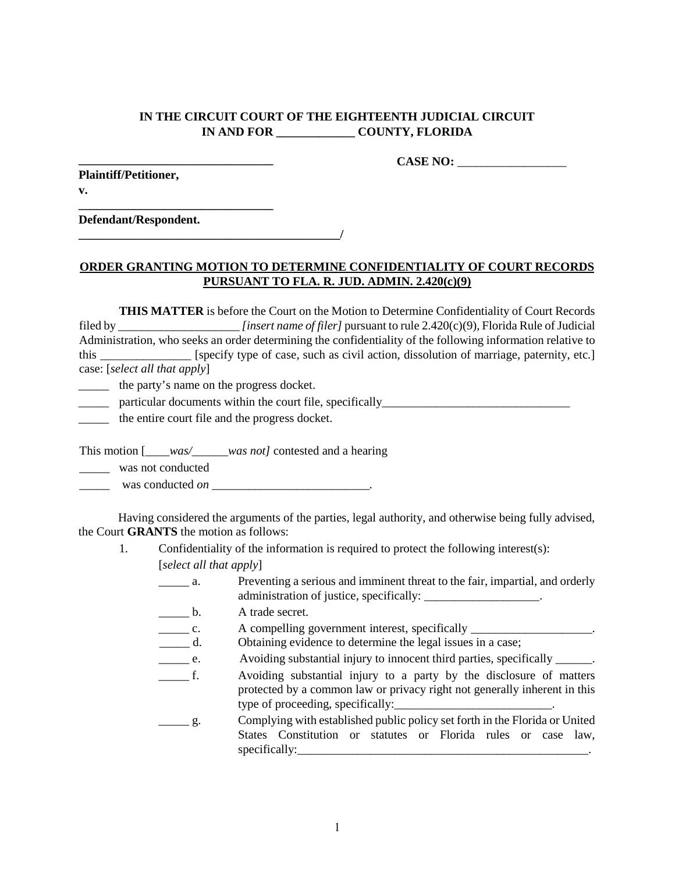## **IN THE CIRCUIT COURT OF THE EIGHTEENTH JUDICIAL CIRCUIT IN AND FOR \_\_\_\_\_\_\_\_\_\_\_\_\_ COUNTY, FLORIDA**

**\_\_\_\_\_\_\_\_\_\_\_\_\_\_\_\_\_\_\_\_\_\_\_\_\_\_\_\_\_\_\_\_ CASE NO:** \_\_\_\_\_\_\_\_\_\_\_\_\_\_\_\_\_\_

| Plaintiff/Petitioner, |  |
|-----------------------|--|
| v.                    |  |

**Defendant/Respondent.** 

**\_\_\_\_\_\_\_\_\_\_\_\_\_\_\_\_\_\_\_\_\_\_\_\_\_\_\_\_\_\_\_\_** 

## **ORDER GRANTING MOTION TO DETERMINE CONFIDENTIALITY OF COURT RECORDS PURSUANT TO FLA. R. JUD. ADMIN. 2.420(c)(9)**

|                                 | <b>THIS MATTER</b> is before the Court on the Motion to Determine Confidentiality of Court Records          |
|---------------------------------|-------------------------------------------------------------------------------------------------------------|
| $\text{filed by }$              | <i>linsert name of filer]</i> pursuant to rule $2.420(c)(9)$ , Florida Rule of Judicial                     |
|                                 | Administration, who seeks an order determining the confidentiality of the following information relative to |
| this                            | [specify type of case, such as civil action, dissolution of marriage, paternity, etc.]                      |
| case: $[select all that apply]$ |                                                                                                             |

\_\_\_\_\_ the party's name on the progress docket.

particular documents within the court file, specifically

\_\_\_\_\_ the entire court file and the progress docket.

This motion  $\begin{bmatrix} \text{was/} \\ \text{was not/} \end{bmatrix}$  contested and a hearing

**\_\_\_\_\_\_\_\_\_\_\_\_\_\_\_\_\_\_\_\_\_\_\_\_\_\_\_\_\_\_\_\_\_\_\_\_\_\_\_\_\_\_\_/** 

was not conducted

\_\_\_\_\_ was conducted *on* \_\_\_\_\_\_\_\_\_\_\_\_\_\_\_\_\_\_\_\_\_\_\_\_\_\_\_.

Having considered the arguments of the parties, legal authority, and otherwise being fully advised, the Court **GRANTS** the motion as follows:

1. Confidentiality of the information is required to protect the following interest(s): [*select all that apply*]

|                         | $v_{P}$ $\sim$ $\sim$ $\sim$ $\sim$                                                                                                                                                                              |
|-------------------------|------------------------------------------------------------------------------------------------------------------------------------------------------------------------------------------------------------------|
| $\frac{a}{a}$           | Preventing a serious and imminent threat to the fair, impartial, and orderly<br>administration of justice, specifically: _______________________.                                                                |
| $\rule{1em}{0.15mm}$ b. | A trade secret.                                                                                                                                                                                                  |
| $\rule{1em}{0.15mm}$ c. | A compelling government interest, specifically __________________.                                                                                                                                               |
| $\_\_\_\$ d.            | Obtaining evidence to determine the legal issues in a case;                                                                                                                                                      |
| $e_{\cdot}$             | Avoiding substantial injury to innocent third parties, specifically ______.                                                                                                                                      |
| $f_{\rm{r}}$            | Avoiding substantial injury to a party by the disclosure of matters<br>protected by a common law or privacy right not generally inherent in this<br>type of proceeding, specifically:__________________________. |
| $\_\_\$ {g.}            | Complying with established public policy set forth in the Florida or United<br>States Constitution or statutes or Florida rules or case law,                                                                     |